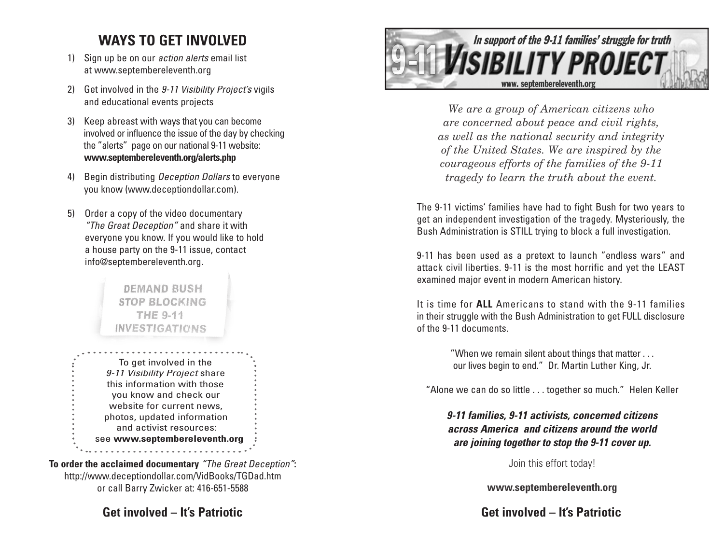## **WAYS TO GET INVOLVED**

- 1) Sign up be on our *action alerts* email list at www.septembereleventh.org
- 2) Get involved in the 9-11 Visibility Project's vigils and educational events projects
- 3) Keep abreast with ways that you can become involved or influence the issue of the day by checking the "alerts" page on our national 9-11 website: **www.septembereleventh.org/alerts.php**
- 4) Begin distributing *Deception Dollars* to everyone you know (www.deceptiondollar.com).
- 5) Order a copy of the video documentary "The Great Deception" and share it with everyone you know. If you would like to hold a house party on the 9-11 issue, contact info@septembereleventh.org.

## DEMAND BUSH **STOP BLOCKING THE 9-11 INVESTIGATIONS**

To get involved in the 9-11 Visibility Project share this information with those you know and check our website for current news, photos, updated information and activist resources: see **www.septembereleventh.org**. . . . . . . . . . . . . . . . . . . .

**To order the acclaimed documentary** "The Great Deception"**:** http://www.deceptiondollar.com/VidBooks/TGDad.htm or call Barry Zwicker at: 416-651-5588

**Get involved – It's Patriotic**



*We are a group of American citizens who are concerned about peace and civil rights, as well as the national security and integrity of the United States. We are inspired by the courageous efforts of the families of the 9-11 tragedy to learn the truth about the event.* 

The 9-11 victims' families have had to fight Bush for two years to get an independent investigation of the tragedy. Mysteriously, the Bush Administration is STILL trying to block a full investigation.

9-11 has been used as a pretext to launch "endless wars" and attack civil liberties. 9-11 is the most horrific and yet the LEAST examined major event in modern American history.

It is time for **ALL** Americans to stand with the 9-11 families in their struggle with the Bush Administration to get FULL disclosure of the 9-11 documents.

> "When we remain silent about things that matter . . . our lives begin to end." Dr. Martin Luther King, Jr.

"Alone we can do so little . . . together so much." Helen Keller

**9-11 families, 9-11 activists, concerned citizens across America and citizens around the world are joining together to stop the 9-11 cover up.**

Join this effort today!

**www.septembereleventh.org**

**Get involved – It's Patriotic**